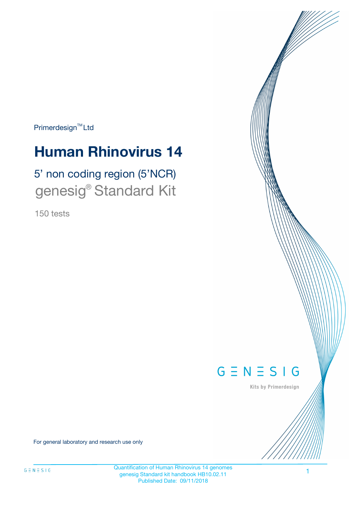Primerdesign<sup>™</sup>Ltd

# **Human Rhinovirus 14**

# 5' non coding region (5'NCR) genesig® Standard Kit

150 tests



Kits by Primerdesign

For general laboratory and research use only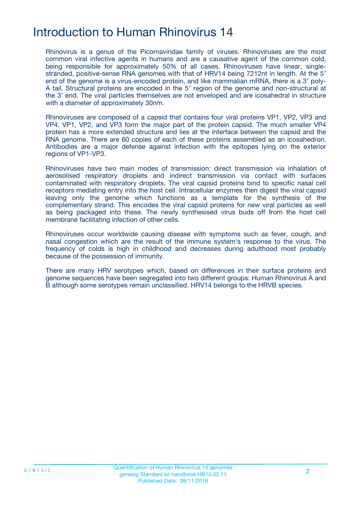## Introduction to Human Rhinovirus 14

Rhinovirus is a genus of the Picornaviridae family of viruses. Rhinoviruses are the most common viral infective agents in humans and are a causative agent of the common cold, being responsible for approximately 50% of all cases. Rhinoviruses have linear, singlestranded, positive-sense RNA genomes with that of HRV14 being 7212nt in length. At the 5′ end of the genome is a virus-encoded protein, and like mammalian mRNA, there is a 3′ poly-A tail. Structural proteins are encoded in the 5′ region of the genome and non-structural at the 3' end. The viral particles themselves are not enveloped and are icosahedral in structure with a diameter of approximately 30nm.

Rhinoviruses are composed of a capsid that contains four viral proteins VP1, VP2, VP3 and VP4. VP1, VP2, and VP3 form the major part of the protein capsid. The much smaller VP4 protein has a more extended structure and lies at the interface between the capsid and the RNA genome. There are 60 copies of each of these proteins assembled as an icosahedron. Antibodies are a major defense against infection with the epitopes lying on the exterior regions of VP1-VP3.

Rhinoviruses have two main modes of transmission: direct transmission via inhalation of aerosolised respiratory droplets and indirect transmission via contact with surfaces contaminated with respiratory droplets. The viral capsid proteins bind to specific nasal cell receptors mediating entry into the host cell. Intracellular enzymes then digest the viral capsid leaving only the genome which functions as a template for the synthesis of the complementary strand. This encodes the viral capsid proteins for new viral particles as well as being packaged into these. The newly synthesised virus buds off from the host cell membrane facilitating infection of other cells.

Rhinoviruses occur worldwide causing disease with symptoms such as fever, cough, and nasal congestion which are the result of the immune system's response to the virus. The frequency of colds is high in childhood and decreases during adulthood most probably because of the possession of immunity.

There are many HRV serotypes which, based on differences in their surface proteins and genome sequences have been segregated into two different groups: Human Rhinovirus A and B although some serotypes remain unclassified. HRV14 belongs to the HRVB species.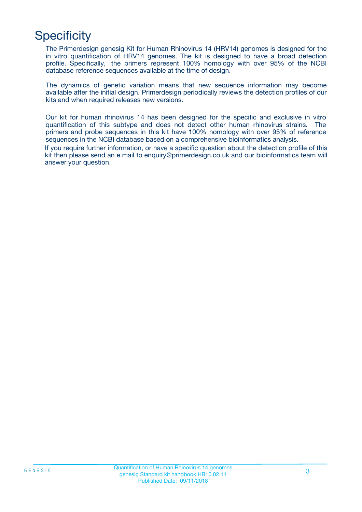# **Specificity**

The Primerdesign genesig Kit for Human Rhinovirus 14 (HRV14) genomes is designed for the in vitro quantification of HRV14 genomes. The kit is designed to have a broad detection profile. Specifically, the primers represent 100% homology with over 95% of the NCBI database reference sequences available at the time of design.

The dynamics of genetic variation means that new sequence information may become available after the initial design. Primerdesign periodically reviews the detection profiles of our kits and when required releases new versions.

Our kit for human rhinovirus 14 has been designed for the specific and exclusive in vitro quantification of this subtype and does not detect other human rhinovirus strains. The primers and probe sequences in this kit have 100% homology with over 95% of reference sequences in the NCBI database based on a comprehensive bioinformatics analysis.

If you require further information, or have a specific question about the detection profile of this kit then please send an e.mail to enquiry@primerdesign.co.uk and our bioinformatics team will answer your question.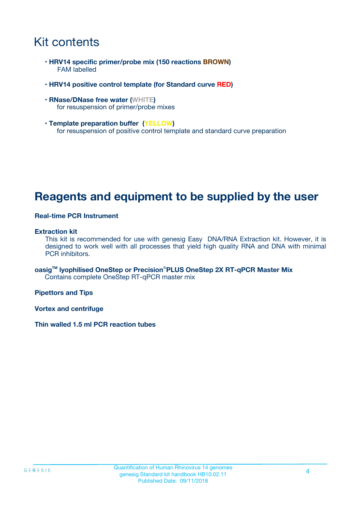### Kit contents

- **HRV14 specific primer/probe mix (150 reactions BROWN)** FAM labelled
- **HRV14 positive control template (for Standard curve RED)**
- **RNase/DNase free water (WHITE)** for resuspension of primer/probe mixes
- **Template preparation buffer (YELLOW)** for resuspension of positive control template and standard curve preparation

### **Reagents and equipment to be supplied by the user**

#### **Real-time PCR Instrument**

#### **Extraction kit**

This kit is recommended for use with genesig Easy DNA/RNA Extraction kit. However, it is designed to work well with all processes that yield high quality RNA and DNA with minimal PCR inhibitors.

**oasigTM lyophilised OneStep or Precision**®**PLUS OneStep 2X RT-qPCR Master Mix** Contains complete OneStep RT-qPCR master mix

**Pipettors and Tips**

**Vortex and centrifuge**

**Thin walled 1.5 ml PCR reaction tubes**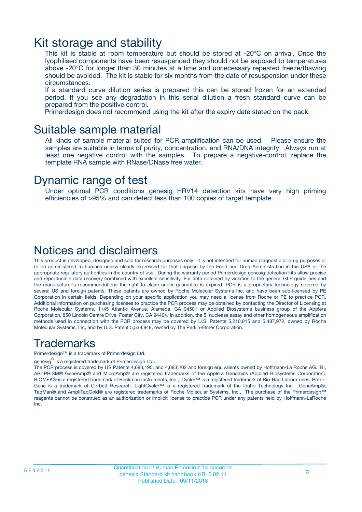### Kit storage and stability

This kit is stable at room temperature but should be stored at -20ºC on arrival. Once the lyophilised components have been resuspended they should not be exposed to temperatures above -20°C for longer than 30 minutes at a time and unnecessary repeated freeze/thawing should be avoided. The kit is stable for six months from the date of resuspension under these circumstances.

If a standard curve dilution series is prepared this can be stored frozen for an extended period. If you see any degradation in this serial dilution a fresh standard curve can be prepared from the positive control.

Primerdesign does not recommend using the kit after the expiry date stated on the pack.

### Suitable sample material

All kinds of sample material suited for PCR amplification can be used. Please ensure the samples are suitable in terms of purity, concentration, and RNA/DNA integrity. Always run at least one negative control with the samples. To prepare a negative-control, replace the template RNA sample with RNase/DNase free water.

### Dynamic range of test

Under optimal PCR conditions genesig HRV14 detection kits have very high priming efficiencies of >95% and can detect less than 100 copies of target template.

### Notices and disclaimers

This product is developed, designed and sold for research purposes only. It is not intended for human diagnostic or drug purposes or to be administered to humans unless clearly expressed for that purpose by the Food and Drug Administration in the USA or the appropriate regulatory authorities in the country of use. During the warranty period Primerdesign genesig detection kits allow precise and reproducible data recovery combined with excellent sensitivity. For data obtained by violation to the general GLP guidelines and the manufacturer's recommendations the right to claim under guarantee is expired. PCR is a proprietary technology covered by several US and foreign patents. These patents are owned by Roche Molecular Systems Inc. and have been sub-licensed by PE Corporation in certain fields. Depending on your specific application you may need a license from Roche or PE to practice PCR. Additional information on purchasing licenses to practice the PCR process may be obtained by contacting the Director of Licensing at Roche Molecular Systems, 1145 Atlantic Avenue, Alameda, CA 94501 or Applied Biosystems business group of the Applera Corporation, 850 Lincoln Centre Drive, Foster City, CA 94404. In addition, the 5' nuclease assay and other homogeneous amplification methods used in connection with the PCR process may be covered by U.S. Patents 5,210,015 and 5,487,972, owned by Roche Molecular Systems, Inc, and by U.S. Patent 5,538,848, owned by The Perkin-Elmer Corporation.

### Trademarks

Primerdesign™ is a trademark of Primerdesign Ltd.

genesig $^\circledR$  is a registered trademark of Primerdesign Ltd.

The PCR process is covered by US Patents 4,683,195, and 4,683,202 and foreign equivalents owned by Hoffmann-La Roche AG. BI, ABI PRISM® GeneAmp® and MicroAmp® are registered trademarks of the Applera Genomics (Applied Biosystems Corporation). BIOMEK® is a registered trademark of Beckman Instruments, Inc.; iCycler™ is a registered trademark of Bio-Rad Laboratories, Rotor-Gene is a trademark of Corbett Research. LightCycler™ is a registered trademark of the Idaho Technology Inc. GeneAmp®, TaqMan® and AmpliTaqGold® are registered trademarks of Roche Molecular Systems, Inc., The purchase of the Primerdesign™ reagents cannot be construed as an authorization or implicit license to practice PCR under any patents held by Hoffmann-LaRoche Inc.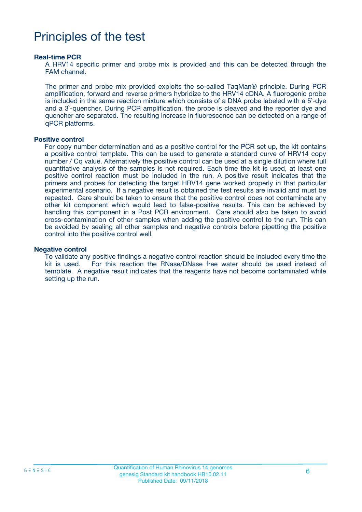## Principles of the test

#### **Real-time PCR**

A HRV14 specific primer and probe mix is provided and this can be detected through the FAM channel.

The primer and probe mix provided exploits the so-called TaqMan® principle. During PCR amplification, forward and reverse primers hybridize to the HRV14 cDNA. A fluorogenic probe is included in the same reaction mixture which consists of a DNA probe labeled with a 5`-dye and a 3`-quencher. During PCR amplification, the probe is cleaved and the reporter dye and quencher are separated. The resulting increase in fluorescence can be detected on a range of qPCR platforms.

#### **Positive control**

For copy number determination and as a positive control for the PCR set up, the kit contains a positive control template. This can be used to generate a standard curve of HRV14 copy number / Cq value. Alternatively the positive control can be used at a single dilution where full quantitative analysis of the samples is not required. Each time the kit is used, at least one positive control reaction must be included in the run. A positive result indicates that the primers and probes for detecting the target HRV14 gene worked properly in that particular experimental scenario. If a negative result is obtained the test results are invalid and must be repeated. Care should be taken to ensure that the positive control does not contaminate any other kit component which would lead to false-positive results. This can be achieved by handling this component in a Post PCR environment. Care should also be taken to avoid cross-contamination of other samples when adding the positive control to the run. This can be avoided by sealing all other samples and negative controls before pipetting the positive control into the positive control well.

#### **Negative control**

To validate any positive findings a negative control reaction should be included every time the kit is used. For this reaction the RNase/DNase free water should be used instead of template. A negative result indicates that the reagents have not become contaminated while setting up the run.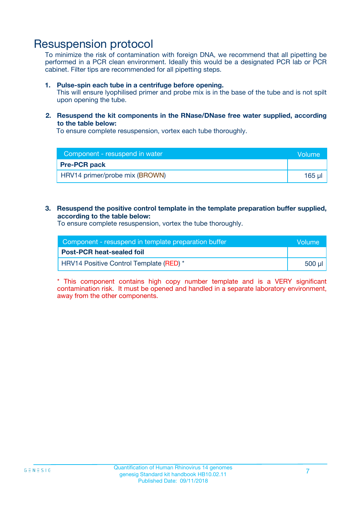### Resuspension protocol

To minimize the risk of contamination with foreign DNA, we recommend that all pipetting be performed in a PCR clean environment. Ideally this would be a designated PCR lab or PCR cabinet. Filter tips are recommended for all pipetting steps.

#### **1. Pulse-spin each tube in a centrifuge before opening.**

This will ensure lyophilised primer and probe mix is in the base of the tube and is not spilt upon opening the tube.

#### **2. Resuspend the kit components in the RNase/DNase free water supplied, according to the table below:**

To ensure complete resuspension, vortex each tube thoroughly.

| Component - resuspend in water | <b>Nolume</b> |
|--------------------------------|---------------|
| <b>Pre-PCR pack</b>            |               |
| HRV14 primer/probe mix (BROWN) | $165$ µ       |

#### **3. Resuspend the positive control template in the template preparation buffer supplied, according to the table below:**

To ensure complete resuspension, vortex the tube thoroughly.

| Component - resuspend in template preparation buffer |         |  |
|------------------------------------------------------|---------|--|
| <b>Post-PCR heat-sealed foil</b>                     |         |  |
| HRV14 Positive Control Template (RED) *              | .500 ul |  |

\* This component contains high copy number template and is a VERY significant contamination risk. It must be opened and handled in a separate laboratory environment, away from the other components.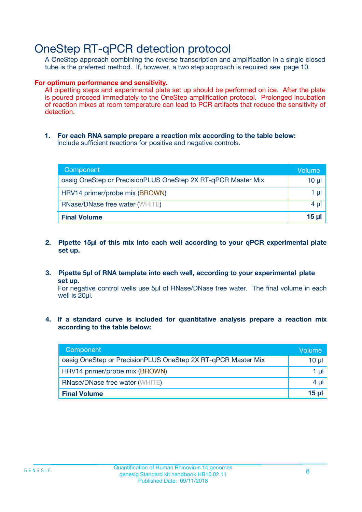### OneStep RT-qPCR detection protocol

A OneStep approach combining the reverse transcription and amplification in a single closed tube is the preferred method. If, however, a two step approach is required see page 10.

#### **For optimum performance and sensitivity.**

All pipetting steps and experimental plate set up should be performed on ice. After the plate is poured proceed immediately to the OneStep amplification protocol. Prolonged incubation of reaction mixes at room temperature can lead to PCR artifacts that reduce the sensitivity of detection.

**1. For each RNA sample prepare a reaction mix according to the table below:** Include sufficient reactions for positive and negative controls.

| Component                                                    | Volume   |
|--------------------------------------------------------------|----------|
| oasig OneStep or PrecisionPLUS OneStep 2X RT-qPCR Master Mix | $10 \mu$ |
| HRV14 primer/probe mix (BROWN)                               | 1 µl     |
| <b>RNase/DNase free water (WHITE)</b>                        | $4 \mu$  |
| <b>Final Volume</b>                                          | $15$ µ   |

- **2. Pipette 15µl of this mix into each well according to your qPCR experimental plate set up.**
- **3. Pipette 5µl of RNA template into each well, according to your experimental plate set up.**

For negative control wells use 5µl of RNase/DNase free water. The final volume in each well is 20ul.

**4. If a standard curve is included for quantitative analysis prepare a reaction mix according to the table below:**

| Component                                                    | Volume |
|--------------------------------------------------------------|--------|
| oasig OneStep or PrecisionPLUS OneStep 2X RT-qPCR Master Mix | 10 µl  |
| HRV14 primer/probe mix (BROWN)                               | 1 µI   |
| <b>RNase/DNase free water (WHITE)</b>                        | 4 µl   |
| <b>Final Volume</b>                                          | 15 ul  |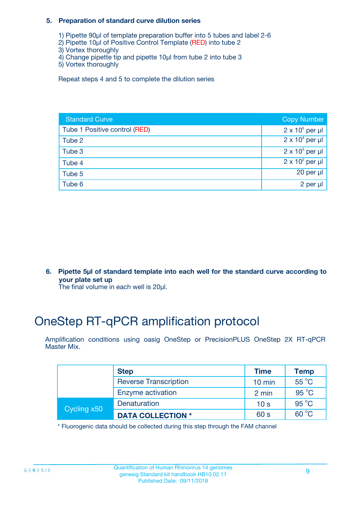#### **5. Preparation of standard curve dilution series**

- 1) Pipette 90µl of template preparation buffer into 5 tubes and label 2-6
- 2) Pipette 10µl of Positive Control Template (RED) into tube 2
- 3) Vortex thoroughly
- 4) Change pipette tip and pipette 10µl from tube 2 into tube 3
- 5) Vortex thoroughly

Repeat steps 4 and 5 to complete the dilution series

| <b>Standard Curve</b>         | <b>Copy Number</b>     |
|-------------------------------|------------------------|
| Tube 1 Positive control (RED) | $2 \times 10^5$ per µl |
| Tube 2                        | $2 \times 10^4$ per µl |
| Tube 3                        | $2 \times 10^3$ per µl |
| Tube 4                        | $2 \times 10^2$ per µl |
| Tube 5                        | 20 per $\mu$           |
| Tube 6                        | 2 per µl               |

**6. Pipette 5µl of standard template into each well for the standard curve according to your plate set up**

The final volume in each well is 20ul.

# OneStep RT-qPCR amplification protocol

Amplification conditions using oasig OneStep or PrecisionPLUS OneStep 2X RT-qPCR Master Mix.

|             | <b>Step</b>                  | <b>Time</b>      | <b>Temp</b>    |
|-------------|------------------------------|------------------|----------------|
|             | <b>Reverse Transcription</b> | $10 \text{ min}$ | $55^{\circ}$ C |
|             | Enzyme activation            | 2 min            | $95^{\circ}$ C |
| Cycling x50 | Denaturation                 | 10 <sub>s</sub>  | $95^{\circ}$ C |
|             | <b>DATA COLLECTION *</b>     | 60 s             | $60^{\circ}$ C |

\* Fluorogenic data should be collected during this step through the FAM channel